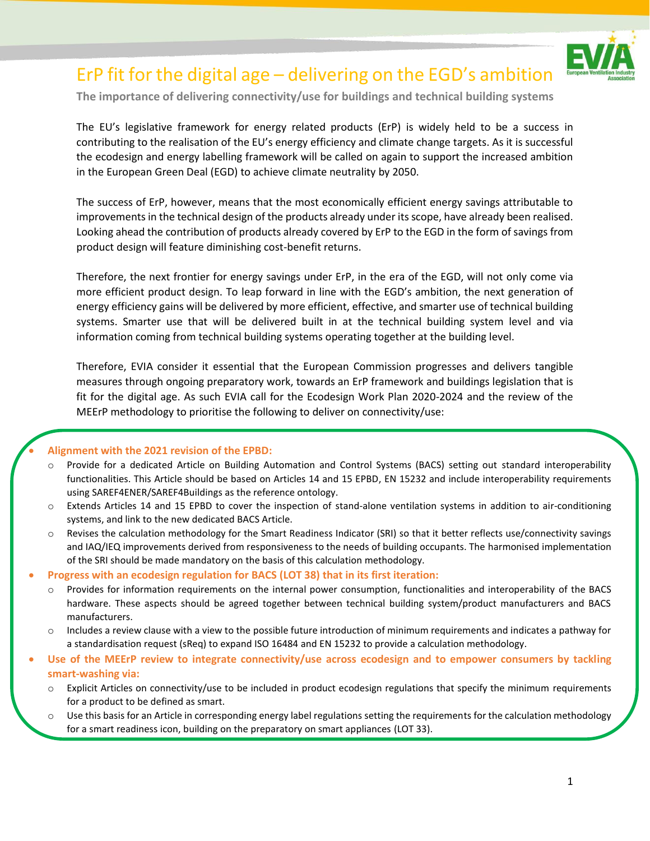

# ErP fit for the digital age – delivering on the EGD's ambition

**The importance of delivering connectivity/use for buildings and technical building systems**

The EU's legislative framework for energy related products (ErP) is widely held to be a success in contributing to the realisation of the EU's energy efficiency and climate change targets. As it is successful the ecodesign and energy labelling framework will be called on again to support the increased ambition in the European Green Deal (EGD) to achieve climate neutrality by 2050.

The success of ErP, however, means that the most economically efficient energy savings attributable to improvements in the technical design of the products already under its scope, have already been realised. Looking ahead the contribution of products already covered by ErP to the EGD in the form of savings from product design will feature diminishing cost-benefit returns.

Therefore, the next frontier for energy savings under ErP, in the era of the EGD, will not only come via more efficient product design. To leap forward in line with the EGD's ambition, the next generation of energy efficiency gains will be delivered by more efficient, effective, and smarter use of technical building systems. Smarter use that will be delivered built in at the technical building system level and via information coming from technical building systems operating together at the building level.

Therefore, EVIA consider it essential that the European Commission progresses and delivers tangible measures through ongoing preparatory work, towards an ErP framework and buildings legislation that is fit for the digital age. As such EVIA call for the Ecodesign Work Plan 2020-2024 and the review of the MEErP methodology to prioritise the following to deliver on connectivity/use:

#### • **Alignment with the 2021 revision of the EPBD:**

- o Provide for a dedicated Article on Building Automation and Control Systems (BACS) setting out standard interoperability functionalities. This Article should be based on Articles 14 and 15 EPBD, EN 15232 and include interoperability requirements using SAREF4ENER/SAREF4Buildings as the reference ontology.
- Extends Articles 14 and 15 EPBD to cover the inspection of stand-alone ventilation systems in addition to air-conditioning systems, and link to the new dedicated BACS Article.
- o Revises the calculation methodology for the Smart Readiness Indicator (SRI) so that it better reflects use/connectivity savings and IAQ/IEQ improvements derived from responsiveness to the needs of building occupants. The harmonised implementation of the SRI should be made mandatory on the basis of this calculation methodology.
- **Progress with an ecodesign regulation for BACS (LOT 38) that in its first iteration:**
	- o Provides for information requirements on the internal power consumption, functionalities and interoperability of the BACS hardware. These aspects should be agreed together between technical building system/product manufacturers and BACS manufacturers.
	- $\circ$  Includes a review clause with a view to the possible future introduction of minimum requirements and indicates a pathway for a standardisation request (sReq) to expand ISO 16484 and EN 15232 to provide a calculation methodology.
- **Use of the MEErP review to integrate connectivity/use across ecodesign and to empower consumers by tackling smart-washing via:**
	- o Explicit Articles on connectivity/use to be included in product ecodesign regulations that specify the minimum requirements for a product to be defined as smart.
	- $\circ$  Use this basis for an Article in corresponding energy label regulations setting the requirements for the calculation methodology for a smart readiness icon, building on the preparatory on smart appliances (LOT 33).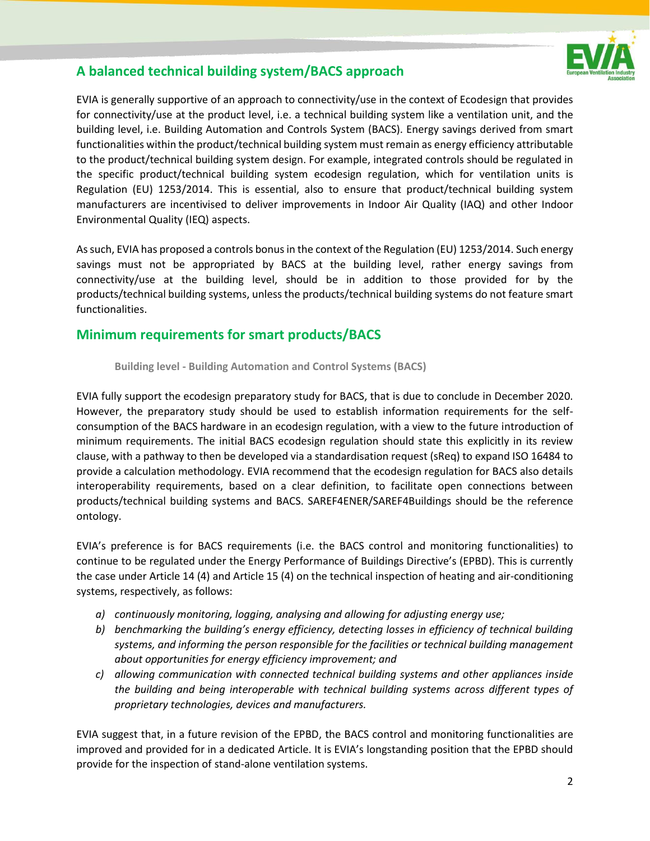

## **A balanced technical building system/BACS approach**

EVIA is generally supportive of an approach to connectivity/use in the context of Ecodesign that provides for connectivity/use at the product level, i.e. a technical building system like a ventilation unit, and the building level, i.e. Building Automation and Controls System (BACS). Energy savings derived from smart functionalities within the product/technical building system must remain as energy efficiency attributable to the product/technical building system design. For example, integrated controls should be regulated in the specific product/technical building system ecodesign regulation, which for ventilation units is Regulation (EU) 1253/2014. This is essential, also to ensure that product/technical building system manufacturers are incentivised to deliver improvements in Indoor Air Quality (IAQ) and other Indoor Environmental Quality (IEQ) aspects.

As such, EVIA has proposed a controls bonus in the context of the Regulation (EU) 1253/2014. Such energy savings must not be appropriated by BACS at the building level, rather energy savings from connectivity/use at the building level, should be in addition to those provided for by the products/technical building systems, unless the products/technical building systems do not feature smart functionalities.

## **Minimum requirements for smart products/BACS**

**Building level - Building Automation and Control Systems (BACS)**

EVIA fully support the ecodesign preparatory study for BACS, that is due to conclude in December 2020. However, the preparatory study should be used to establish information requirements for the selfconsumption of the BACS hardware in an ecodesign regulation, with a view to the future introduction of minimum requirements. The initial BACS ecodesign regulation should state this explicitly in its review clause, with a pathway to then be developed via a standardisation request (sReq) to expand ISO 16484 to provide a calculation methodology. EVIA recommend that the ecodesign regulation for BACS also details interoperability requirements, based on a clear definition, to facilitate open connections between products/technical building systems and BACS. SAREF4ENER/SAREF4Buildings should be the reference ontology.

EVIA's preference is for BACS requirements (i.e. the BACS control and monitoring functionalities) to continue to be regulated under the Energy Performance of Buildings Directive's (EPBD). This is currently the case under Article 14 (4) and Article 15 (4) on the technical inspection of heating and air-conditioning systems, respectively, as follows:

- *a) continuously monitoring, logging, analysing and allowing for adjusting energy use;*
- *b) benchmarking the building's energy efficiency, detecting losses in efficiency of technical building systems, and informing the person responsible for the facilities or technical building management about opportunities for energy efficiency improvement; and*
- *c) allowing communication with connected technical building systems and other appliances inside the building and being interoperable with technical building systems across different types of proprietary technologies, devices and manufacturers.*

EVIA suggest that, in a future revision of the EPBD, the BACS control and monitoring functionalities are improved and provided for in a dedicated Article. It is EVIA's longstanding position that the EPBD should provide for the inspection of stand-alone ventilation systems.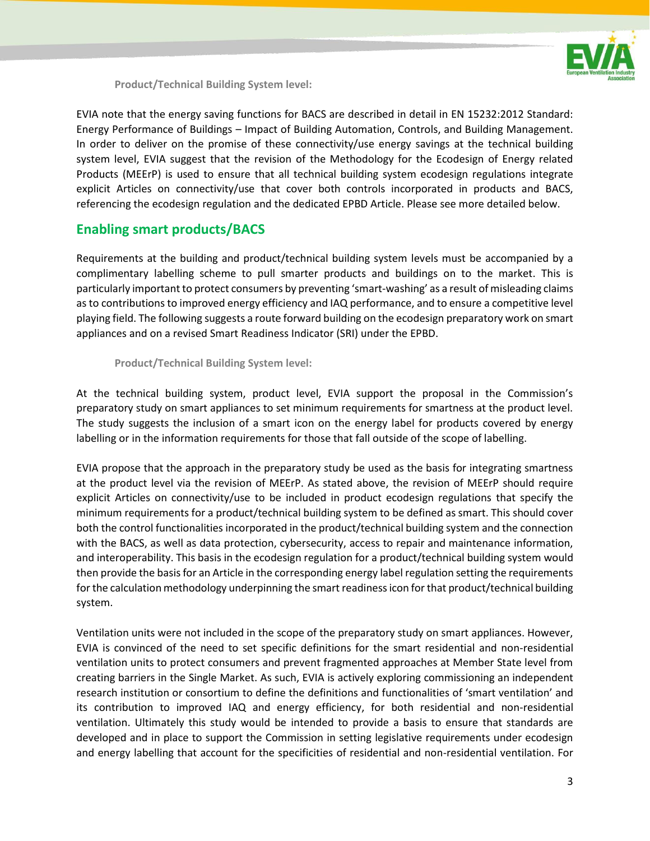

**Product/Technical Building System level:**

EVIA note that the energy saving functions for BACS are described in detail in EN 15232:2012 Standard: Energy Performance of Buildings – Impact of Building Automation, Controls, and Building Management. In order to deliver on the promise of these connectivity/use energy savings at the technical building system level, EVIA suggest that the revision of the Methodology for the Ecodesign of Energy related Products (MEErP) is used to ensure that all technical building system ecodesign regulations integrate explicit Articles on connectivity/use that cover both controls incorporated in products and BACS, referencing the ecodesign regulation and the dedicated EPBD Article. Please see more detailed below.

## **Enabling smart products/BACS**

Requirements at the building and product/technical building system levels must be accompanied by a complimentary labelling scheme to pull smarter products and buildings on to the market. This is particularly important to protect consumers by preventing 'smart-washing' as a result of misleading claims as to contributions to improved energy efficiency and IAQ performance, and to ensure a competitive level playing field. The following suggests a route forward building on the ecodesign preparatory work on smart appliances and on a revised Smart Readiness Indicator (SRI) under the EPBD.

#### **Product/Technical Building System level:**

At the technical building system, product level, EVIA support the proposal in the Commission's preparatory study on smart appliances to set minimum requirements for smartness at the product level. The study suggests the inclusion of a smart icon on the energy label for products covered by energy labelling or in the information requirements for those that fall outside of the scope of labelling.

EVIA propose that the approach in the preparatory study be used as the basis for integrating smartness at the product level via the revision of MEErP. As stated above, the revision of MEErP should require explicit Articles on connectivity/use to be included in product ecodesign regulations that specify the minimum requirements for a product/technical building system to be defined as smart. This should cover both the control functionalities incorporated in the product/technical building system and the connection with the BACS, as well as data protection, cybersecurity, access to repair and maintenance information, and interoperability. This basis in the ecodesign regulation for a product/technical building system would then provide the basis for an Article in the corresponding energy label regulation setting the requirements for the calculation methodology underpinning the smart readiness icon for that product/technical building system.

Ventilation units were not included in the scope of the preparatory study on smart appliances. However, EVIA is convinced of the need to set specific definitions for the smart residential and non-residential ventilation units to protect consumers and prevent fragmented approaches at Member State level from creating barriers in the Single Market. As such, EVIA is actively exploring commissioning an independent research institution or consortium to define the definitions and functionalities of 'smart ventilation' and its contribution to improved IAQ and energy efficiency, for both residential and non-residential ventilation. Ultimately this study would be intended to provide a basis to ensure that standards are developed and in place to support the Commission in setting legislative requirements under ecodesign and energy labelling that account for the specificities of residential and non-residential ventilation. For